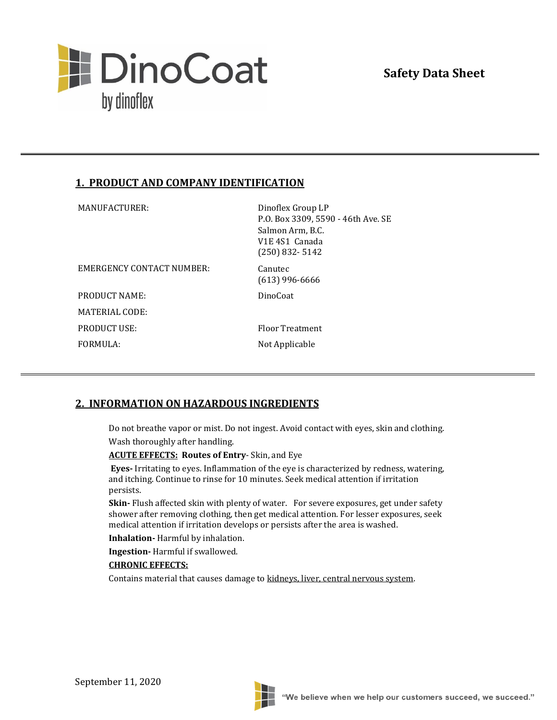

## **1. PRODUCT AND COMPANY IDENTIFICATION**

| MANUFACTURER:             | Dinoflex Group LP<br>P.O. Box 3309, 5590 - 46th Ave. SE<br>Salmon Arm, B.C.<br>V1E 4S1 Canada<br>$(250)$ 832-5142 |
|---------------------------|-------------------------------------------------------------------------------------------------------------------|
| EMERGENCY CONTACT NUMBER: | Canutec<br>$(613)$ 996-6666                                                                                       |
| PRODUCT NAME:             | DinoCoat                                                                                                          |
| MATERIAL CODE:            |                                                                                                                   |
| <b>PRODUCT USE:</b>       | Floor Treatment                                                                                                   |
| FORMULA:                  | Not Applicable                                                                                                    |
|                           |                                                                                                                   |

#### **2. INFORMATION ON HAZARDOUS INGREDIENTS**

Do not breathe vapor or mist. Do not ingest. Avoid contact with eyes, skin and clothing.

Wash thoroughly after handling.

**ACUTE EFFECTS: Routes of Entry**- Skin, and Eye

**Eyes-** Irritating to eyes. Inflammation of the eye is characterized by redness, watering, and itching. Continue to rinse for 10 minutes. Seek medical attention if irritation persists.

**Skin-** Flush affected skin with plenty of water. For severe exposures, get under safety shower after removing clothing, then get medical attention. For lesser exposures, seek medical attention if irritation develops or persists after the area is washed.

**Inhalation-** Harmful by inhalation.

**Ingestion-** Harmful if swallowed.

#### **CHRONIC EFFECTS:**

Contains material that causes damage to kidneys, liver, central nervous system.

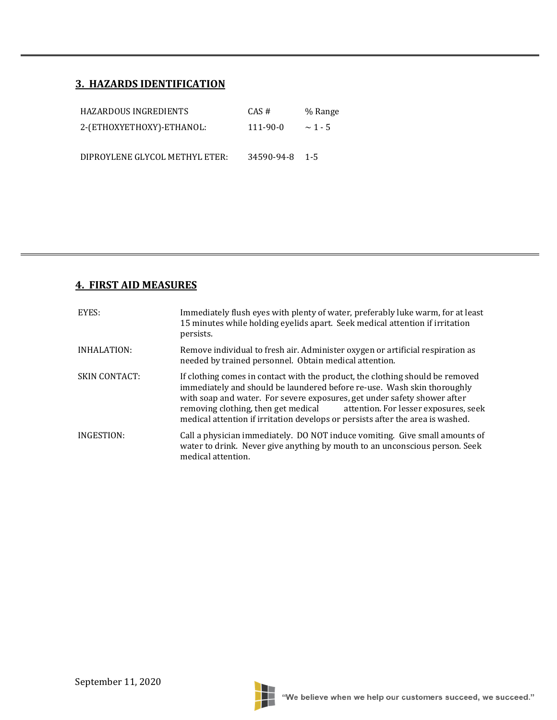# **3. HAZARDS IDENTIFICATION**

| HAZARDOUS INGREDIENTS          | CAS#           | % Range      |
|--------------------------------|----------------|--------------|
| 2-(ETHOXYETHOXY)-ETHANOL:      | 111-90-0       | $\sim$ 1 - 5 |
|                                |                |              |
| DIPROYLENE GLYCOL METHYL ETER: | 34590-94-8 1-5 |              |

## **4. FIRST AID MEASURES**

| EYES:                | Immediately flush eyes with plenty of water, preferably luke warm, for at least<br>15 minutes while holding eyelids apart. Seek medical attention if irritation<br>persists.                                                                                                                                                                                                                        |
|----------------------|-----------------------------------------------------------------------------------------------------------------------------------------------------------------------------------------------------------------------------------------------------------------------------------------------------------------------------------------------------------------------------------------------------|
| INHALATION:          | Remove individual to fresh air. Administer oxygen or artificial respiration as<br>needed by trained personnel. Obtain medical attention.                                                                                                                                                                                                                                                            |
| <b>SKIN CONTACT:</b> | If clothing comes in contact with the product, the clothing should be removed<br>immediately and should be laundered before re-use. Wash skin thoroughly<br>with soap and water. For severe exposures, get under safety shower after<br>removing clothing, then get medical attention. For lesser exposures, seek<br>medical attention if irritation develops or persists after the area is washed. |
| INGESTION:           | Call a physician immediately. DO NOT induce vomiting. Give small amounts of<br>water to drink. Never give anything by mouth to an unconscious person. Seek<br>medical attention.                                                                                                                                                                                                                    |

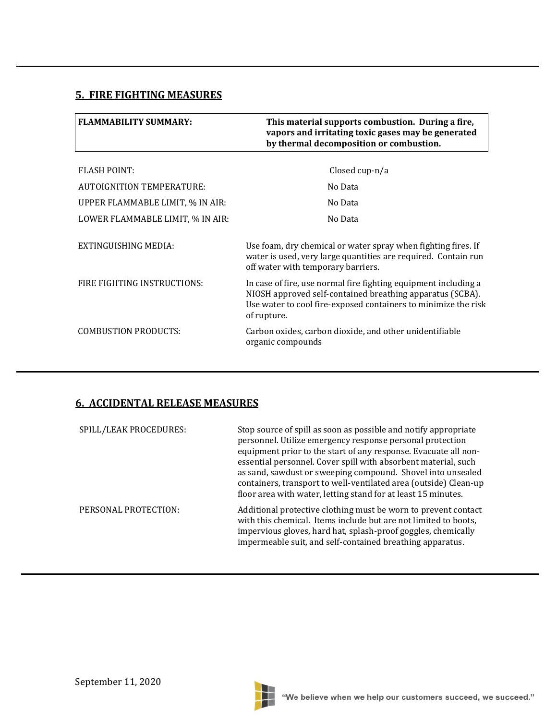## **5. FIRE FIGHTING MEASURES**

| <b>FLAMMABILITY SUMMARY:</b>     | This material supports combustion. During a fire,<br>vapors and irritating toxic gases may be generated<br>by thermal decomposition or combustion.                                                            |
|----------------------------------|---------------------------------------------------------------------------------------------------------------------------------------------------------------------------------------------------------------|
| <b>FLASH POINT:</b>              | Closed cup-n/a                                                                                                                                                                                                |
| AUTOIGNITION TEMPERATURE:        | No Data                                                                                                                                                                                                       |
| UPPER FLAMMABLE LIMIT, % IN AIR: | No Data                                                                                                                                                                                                       |
| LOWER FLAMMABLE LIMIT, % IN AIR: | No Data                                                                                                                                                                                                       |
| EXTINGUISHING MEDIA:             | Use foam, dry chemical or water spray when fighting fires. If<br>water is used, very large quantities are required. Contain run<br>off water with temporary barriers.                                         |
| FIRE FIGHTING INSTRUCTIONS:      | In case of fire, use normal fire fighting equipment including a<br>NIOSH approved self-contained breathing apparatus (SCBA).<br>Use water to cool fire-exposed containers to minimize the risk<br>of rupture. |
| <b>COMBUSTION PRODUCTS:</b>      | Carbon oxides, carbon dioxide, and other unidentifiable<br>organic compounds                                                                                                                                  |

# **6. ACCIDENTAL RELEASE MEASURES**

| SPILL/LEAK PROCEDURES: | Stop source of spill as soon as possible and notify appropriate<br>personnel. Utilize emergency response personal protection<br>equipment prior to the start of any response. Evacuate all non-<br>essential personnel. Cover spill with absorbent material, such<br>as sand, sawdust or sweeping compound. Shovel into unsealed<br>containers, transport to well-ventilated area (outside) Clean-up<br>floor area with water, letting stand for at least 15 minutes. |
|------------------------|-----------------------------------------------------------------------------------------------------------------------------------------------------------------------------------------------------------------------------------------------------------------------------------------------------------------------------------------------------------------------------------------------------------------------------------------------------------------------|
| PERSONAL PROTECTION:   | Additional protective clothing must be worn to prevent contact<br>with this chemical. Items include but are not limited to boots,<br>impervious gloves, hard hat, splash-proof goggles, chemically<br>impermeable suit, and self-contained breathing apparatus.                                                                                                                                                                                                       |

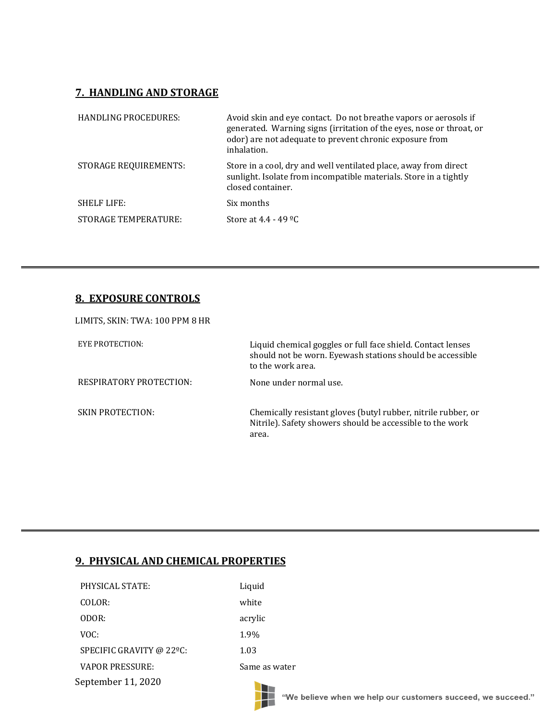## **7. HANDLING AND STORAGE**

| <b>HANDLING PROCEDURES:</b> | Avoid skin and eye contact. Do not breathe vapors or aerosols if<br>generated. Warning signs (irritation of the eyes, nose or throat, or<br>odor) are not adequate to prevent chronic exposure from<br>inhalation. |
|-----------------------------|--------------------------------------------------------------------------------------------------------------------------------------------------------------------------------------------------------------------|
| STORAGE REQUIREMENTS:       | Store in a cool, dry and well ventilated place, away from direct<br>sunlight. Isolate from incompatible materials. Store in a tightly<br>closed container.                                                         |
| <b>SHELF LIFE:</b>          | Six months                                                                                                                                                                                                         |
| STORAGE TEMPERATURE:        | Store at $4.4 - 49$ °C                                                                                                                                                                                             |

## **8. EXPOSURE CONTROLS**

| LIMITS, SKIN: TWA: 100 PPM 8 HR |                                                                                                                                               |
|---------------------------------|-----------------------------------------------------------------------------------------------------------------------------------------------|
| EYE PROTECTION:                 | Liquid chemical goggles or full face shield. Contact lenses<br>should not be worn. Eyewash stations should be accessible<br>to the work area. |
| RESPIRATORY PROTECTION:         | None under normal use.                                                                                                                        |
| <b>SKIN PROTECTION:</b>         | Chemically resistant gloves (butyl rubber, nitrile rubber, or<br>Nitrile). Safety showers should be accessible to the work<br>area.           |

Ŧ

### **9. PHYSICAL AND CHEMICAL PROPERTIES**

| September 11, 2020       |               |
|--------------------------|---------------|
| <b>VAPOR PRESSURE:</b>   | Same as water |
| SPECIFIC GRAVITY @ 22°C: | 1.03          |
| VOC:                     | 1.9%          |
| ODOR:                    | acrylic       |
| COLOR:                   | white         |
| PHYSICAL STATE:          | Liquid        |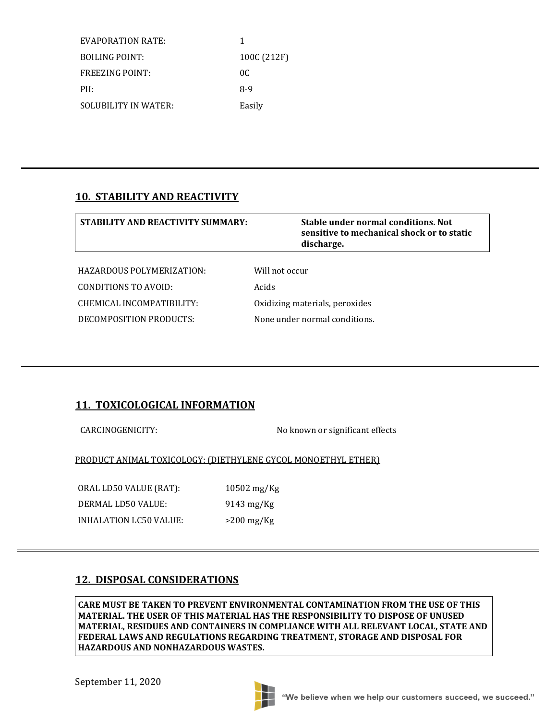| EVAPORATION RATE:      | 1           |
|------------------------|-------------|
| <b>BOILING POINT:</b>  | 100C (212F) |
| <b>FREEZING POINT:</b> | OC.         |
| PH:                    | $8-9$       |
| SOLUBILITY IN WATER:   | Easily      |

#### **10. STABILITY AND REACTIVITY**

| <b>STABILITY AND REACTIVITY SUMMARY:</b> | Stable under normal conditions. Not<br>sensitive to mechanical shock or to static<br>discharge. |
|------------------------------------------|-------------------------------------------------------------------------------------------------|
|                                          |                                                                                                 |
| HAZARDOUS POLYMERIZATION:                | Will not occur                                                                                  |
| CONDITIONS TO AVOID:                     | Acids                                                                                           |
| CHEMICAL INCOMPATIBILITY:                | Oxidizing materials, peroxides                                                                  |
| DECOMPOSITION PRODUCTS:                  | None under normal conditions.                                                                   |
|                                          |                                                                                                 |

## **11. TOXICOLOGICAL INFORMATION**

CARCINOGENICITY: No known or significant effects

PRODUCT ANIMAL TOXICOLOGY: (DIETHYLENE GYCOL MONOETHYL ETHER)

ORAL LD50 VALUE (RAT): 10502 mg/Kg DERMAL LD50 VALUE: 9143 mg/Kg INHALATION LC50 VALUE: >200 mg/Kg

## **12. DISPOSAL CONSIDERATIONS**

**CARE MUST BE TAKEN TO PREVENT ENVIRONMENTAL CONTAMINATION FROM THE USE OF THIS MATERIAL. THE USER OF THIS MATERIAL HAS THE RESPONSIBILITY TO DISPOSE OF UNUSED MATERIAL, RESIDUES AND CONTAINERS IN COMPLIANCE WITH ALL RELEVANT LOCAL, STATE AND FEDERAL LAWS AND REGULATIONS REGARDING TREATMENT, STORAGE AND DISPOSAL FOR HAZARDOUS AND NONHAZARDOUS WASTES.**